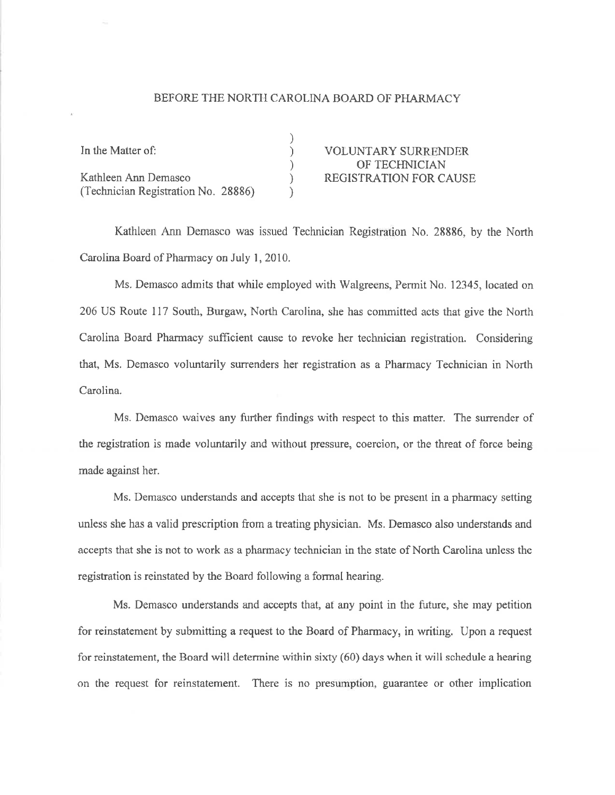## BEFORE THE NORTH CAROLINA BOARD OF PHARMACY

| In the Matter of:                   | <b>VOLUNTARY SURRENDER</b>    |
|-------------------------------------|-------------------------------|
|                                     | OF TECHNICIAN                 |
| Kathleen Ann Demasco                | <b>REGISTRATION FOR CAUSE</b> |
| (Technician Registration No. 28886) |                               |

Kathleen Ann Demasco was issued Technician Registration No. 28886, by the North Carolina Board of Pharmacy on July 1, 2010.

Ms. Demasco admits that while employed with Walgreens, Permit No. 12345, located on 206 US Route 117 South, Burgaw, North Carolina, she has committed acts that give the North Carolina Board Pharmacy sufficient cause to revoke her technician registration. Considering that, Ms. Demasco voluntarily surrenders her registration as a Pharmacy Technician in North Carolina.

Ms. Demasco waives any further findings with respect to this matter. The surrender of the registration is made voluntarily and without pressure, coercion, or the threat of force being made against her.

Ms. Demasco understands and accepts that she is not to be present in a pharmacy setting unless she has a valid prescription from a treating physician. Ms. Demasco also understands and accepts that she is not to work as a pharmacy technician in the state of North Carolina unless the registration is reinstated by the Board following a formal hearing.

Ms. Demasco understands and accepts that, at any point in the future, she may petition for reinstatement by submitting a request to the Board of Pharmacy, in writing. Upon a request for reinstatement, the Board will determine within sixty (60) days when it will schedule a hearing on the request for reinstatement. There is no presumption, guarantee or other implication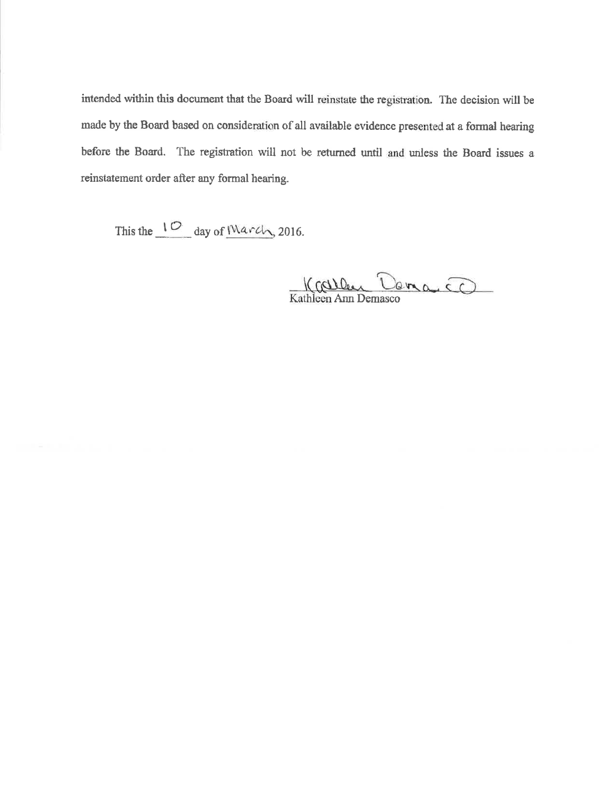intended within this document that the Board will reinstate the registration. The decision will be made by the Board based on consideration of all available evidence presented at a formal hearing before the Board. The registration will not be returned until and unless the Board issues a reinstatement order after any formal hearing.

This the  $\frac{10}{\text{day of } \text{March}}$ , 2016.

Karley Dana Co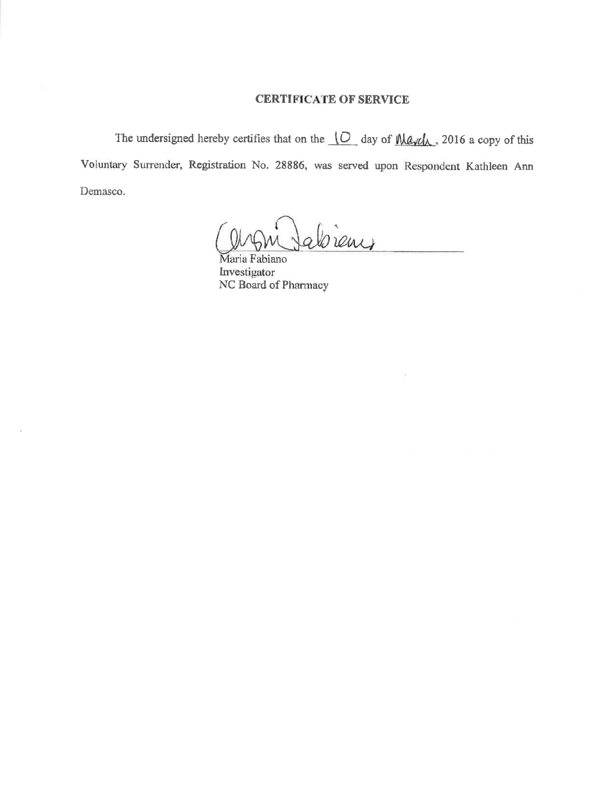## **CERTIFICATE OF SERVICE**

The undersigned hereby certifies that on the  $\overline{O}$  day of  $\overline{\text{Map}}$ , 2016 a copy of this Voluntary Surrender, Registration No. 28886, was served upon Respondent Kathleen Ann Demasco.

Cient

Maria Fabiano Investigator NC Board of Pharmacy